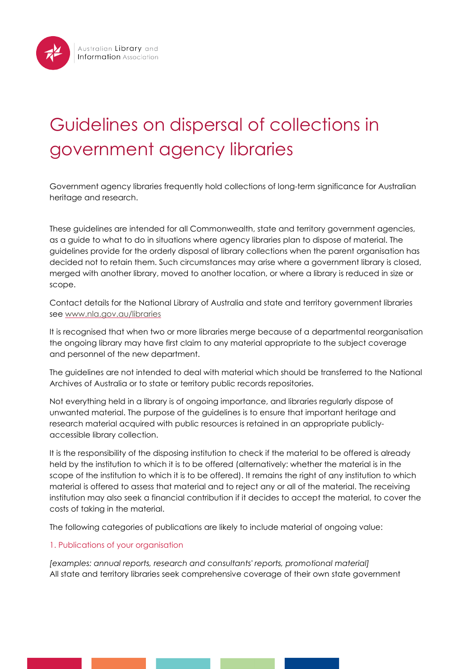# Guidelines on dispersal of collections in government agency libraries

Government agency libraries frequently hold collections of long-term significance for Australian heritage and research.

These guidelines are intended for all Commonwealth, state and territory government agencies, as a guide to what to do in situations where agency libraries plan to dispose of material. The guidelines provide for the orderly disposal of library collections when the parent organisation has decided not to retain them. Such circumstances may arise where a government library is closed, merged with another library, moved to another location, or where a library is reduced in size or scope.

Contact details for the National Library of Australia and state and territory government libraries see [www.nla.gov.au/libraries](http://www.nla.gov.au/libraries/)

It is recognised that when two or more libraries merge because of a departmental reorganisation the ongoing library may have first claim to any material appropriate to the subject coverage and personnel of the new department.

The guidelines are not intended to deal with material which should be transferred to the National Archives of Australia or to state or territory public records repositories.

Not everything held in a library is of ongoing importance, and libraries regularly dispose of unwanted material. The purpose of the guidelines is to ensure that important heritage and research material acquired with public resources is retained in an appropriate publiclyaccessible library collection.

It is the responsibility of the disposing institution to check if the material to be offered is already held by the institution to which it is to be offered (alternatively: whether the material is in the scope of the institution to which it is to be offered). It remains the right of any institution to which material is offered to assess that material and to reject any or all of the material. The receiving institution may also seek a financial contribution if it decides to accept the material, to cover the costs of taking in the material.

The following categories of publications are likely to include material of ongoing value:

## 1. Publications of your organisation

*[examples: annual reports, research and consultants' reports, promotional material]* All state and territory libraries seek comprehensive coverage of their own state government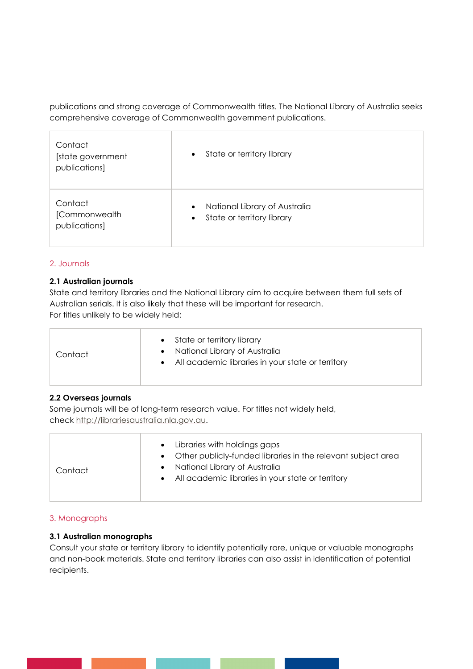publications and strong coverage of Commonwealth titles. The National Library of Australia seeks comprehensive coverage of Commonwealth government publications.

| Contact<br>[state government<br>publications] | State or territory library<br>$\bullet$                                               |
|-----------------------------------------------|---------------------------------------------------------------------------------------|
| Contact<br>[Commonwealth<br>publications]     | National Library of Australia<br>$\bullet$<br>State or territory library<br>$\bullet$ |

#### 2. Journals

#### **2.1 Australian journals**

State and territory libraries and the National Library aim to acquire between them full sets of Australian serials. It is also likely that these will be important for research. For titles unlikely to be widely held:

| Contact | State or territory library<br>National Library of Australia<br>All academic libraries in your state or territory |
|---------|------------------------------------------------------------------------------------------------------------------|
|---------|------------------------------------------------------------------------------------------------------------------|

## **2.2 Overseas journals**

Some journals will be of long-term research value. For titles not widely held, check [http://librariesaustralia.nla.gov.au.](http://librariesaustralia.nla.gov.au/)

| Contact | Libraries with holdings gaps<br>$\bullet$<br>• Other publicly-funded libraries in the relevant subject area<br>• National Library of Australia<br>• All academic libraries in your state or territory |
|---------|-------------------------------------------------------------------------------------------------------------------------------------------------------------------------------------------------------|
|---------|-------------------------------------------------------------------------------------------------------------------------------------------------------------------------------------------------------|

## 3. Monographs

## **3.1 Australian monographs**

Consult your state or territory library to identify potentially rare, unique or valuable monographs and non-book materials. State and territory libraries can also assist in identification of potential recipients.